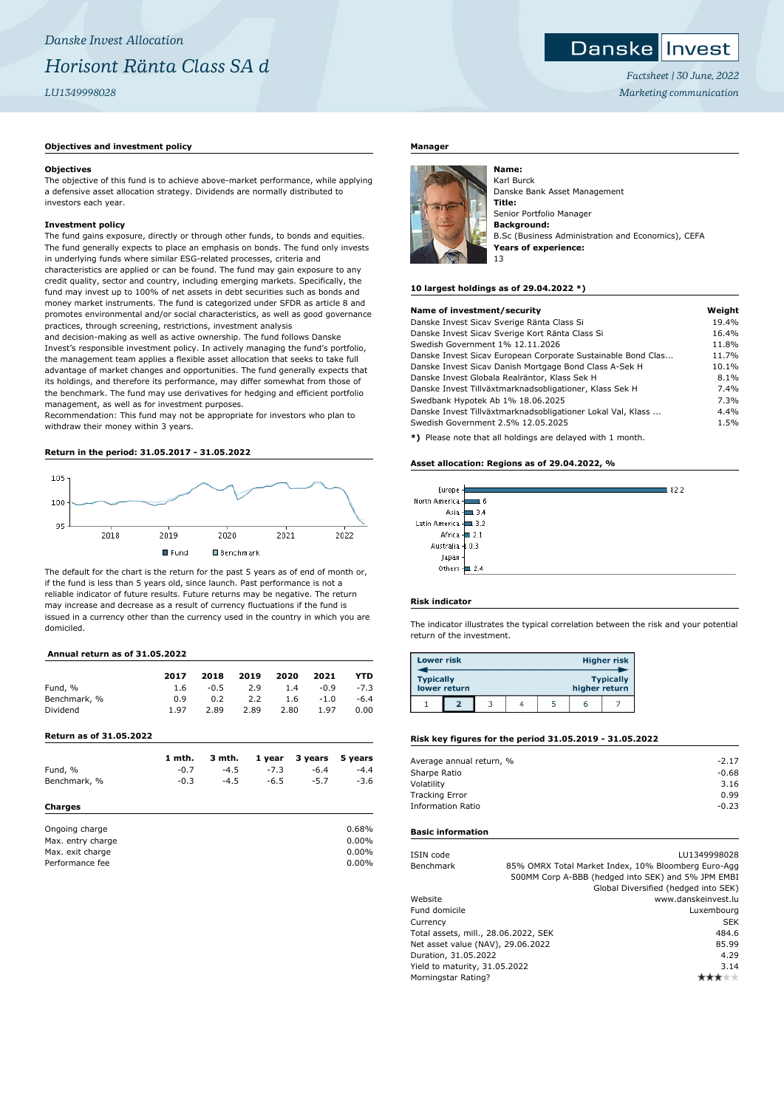## **Objectives and investment policy**

#### **Objectives**

The objective of this fund is to achieve above-market performance, while applying a defensive asset allocation strategy. Dividends are normally distributed to investors each year.

### **Investment policy**

The fund gains exposure, directly or through other funds, to bonds and equities. The fund generally expects to place an emphasis on bonds. The fund only invests in underlying funds where similar ESG-related processes, criteria and characteristics are applied or can be found. The fund may gain exposure to any credit quality, sector and country, including emerging markets. Specifically, the fund may invest up to 100% of net assets in debt securities such as bonds and money market instruments. The fund is categorized under SFDR as article 8 and promotes environmental and/or social characteristics, as well as good governance practices, through screening, restrictions, investment analysis

and decision-making as well as active ownership. The fund follows Danske Invest's responsible investment policy. In actively managing the fund's portfolio, the management team applies a flexible asset allocation that seeks to take full advantage of market changes and opportunities. The fund generally expects that its holdings, and therefore its performance, may differ somewhat from those of the benchmark. The fund may use derivatives for hedging and efficient portfolio management, as well as for investment purposes.

Recommendation: This fund may not be appropriate for investors who plan to withdraw their money within 3 years.

## **Return in the period: 31.05.2017 - 31.05.2022**



The default for the chart is the return for the past 5 years as of end of month or, if the fund is less than 5 years old, since launch. Past performance is not a reliable indicator of future results. Future returns may be negative. The return may increase and decrease as a result of currency fluctuations if the fund is issued in a currency other than the currency used in the country in which you are domiciled.

## **Annual return as of 31.05.2022**

| 2017         | 2018   | 2019 | 2020 |        | <b>YTD</b> |
|--------------|--------|------|------|--------|------------|
| 1.6          | $-0.5$ | 2.9  | 1.4  | $-0.9$ | $-7.3$     |
| 0.9          | 0.2    | 2.2  | 1.6  | $-1.0$ | $-6.4$     |
| 1.97         | 2.89   | 2.89 | 2.80 | 1.97   | 0.00       |
| Benchmark, % |        |      |      |        | 2021       |

**Return as of 31.05.2022**

|                   | 1 mth. | 3 mth. | 1 year | 3 years | 5 years |
|-------------------|--------|--------|--------|---------|---------|
| Fund, %           | $-0.7$ | $-4.5$ | $-7.3$ | $-6.4$  | $-4.4$  |
| Benchmark, %      | $-0.3$ | $-4.5$ | $-6.5$ | $-5.7$  | $-3.6$  |
| Charges           |        |        |        |         |         |
| Ongoing charge    |        |        |        |         | 0.68%   |
| Max. entry charge |        |        |        |         | 0.00%   |
| Max. exit charge  |        |        |        |         | 0.00%   |
| Performance fee   |        |        |        |         | 0.00%   |

#### **Manager**



Karl Burck Danske Bank Asset Management **Title:** Senior Portfolio Manager **Background:** B.Sc (Business Administration and Economics), CEFA **Years of experience:** 13

#### **10 largest holdings as of 29.04.2022 \*)**

| Name of investment/security                                  | Weight |
|--------------------------------------------------------------|--------|
| Danske Invest Sicav Sverige Ränta Class Si                   | 19.4%  |
| Danske Invest Sicav Sverige Kort Ränta Class Si              | 16.4%  |
| Swedish Government 1% 12.11.2026                             | 11.8%  |
| Danske Invest Sicav European Corporate Sustainable Bond Clas | 11.7%  |
| Danske Invest Sicav Danish Mortgage Bond Class A-Sek H       | 10.1%  |
| Danske Invest Globala Realräntor, Klass Sek H                | 8.1%   |
| Danske Invest Tillväxtmarknadsobligationer, Klass Sek H      | 7.4%   |
| Swedbank Hypotek Ab 1% 18.06.2025                            | 7.3%   |
| Danske Invest Tillväxtmarknadsobligationer Lokal Val, Klass  | 4.4%   |
| Swedish Government 2.5% 12.05.2025                           | 1.5%   |
|                                                              |        |

**\*)** Please note that all holdings are delayed with 1 month.

#### **Asset allocation: Regions as of 29.04.2022, %**

| Europe -                 |            | 182.2 |
|--------------------------|------------|-------|
| North America -          | 16         |       |
|                          | Asia - 3.4 |       |
| Latin America - 1 3.2    |            |       |
| Africa - 2.1             |            |       |
| Australia 4 0.3          |            |       |
| Japan                    |            |       |
| Others $\frac{1}{2}$ 2.4 |            |       |
|                          |            |       |

## **Risk indicator**

The indicator illustrates the typical correlation between the risk and your potential return of the investment.

| <b>Lower risk</b> |              |  |               | <b>Higher risk</b> |
|-------------------|--------------|--|---------------|--------------------|
| <b>Typically</b>  | lower return |  | higher return | <b>Typically</b>   |
|                   |              |  |               |                    |

#### **Risk key figures for the period 31.05.2019 - 31.05.2022**

| Average annual return, % | $-2.17$ |
|--------------------------|---------|
| Sharpe Ratio             | $-0.68$ |
| Volatility               | 3.16    |
| <b>Tracking Error</b>    | 0.99    |
| <b>Information Ratio</b> | $-0.23$ |
|                          |         |

#### **Basic information**

| ISIN code                            |  | LU1349998028                                        |
|--------------------------------------|--|-----------------------------------------------------|
| Benchmark                            |  | 85% OMRX Total Market Index, 10% Bloomberg Euro-Agg |
|                                      |  | 500MM Corp A-BBB (hedged into SEK) and 5% JPM EMBI  |
|                                      |  | Global Diversified (hedged into SEK)                |
| Website                              |  | www.danskeinvest.lu                                 |
| Fund domicile                        |  | Luxembourg                                          |
| Currency                             |  | <b>SEK</b>                                          |
| Total assets, mill., 28.06.2022, SEK |  | 484.6                                               |
| Net asset value (NAV), 29.06.2022    |  | 85.99                                               |
| Duration, 31.05.2022                 |  | 4.29                                                |
| Yield to maturity, 31.05.2022        |  | 3.14                                                |
| Morningstar Rating?                  |  |                                                     |
|                                      |  |                                                     |

*Factsheet | 30 June, 2022 Marketing communication*